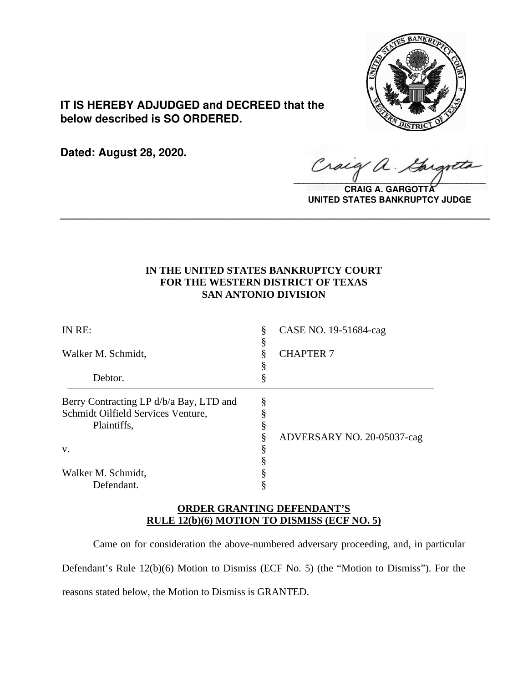

**IT IS HEREBY ADJUDGED and DECREED that the below described is SO ORDERED.**

**Dated: August 28, 2020.**

Craig  $\sqrt{2}$ 

**CRAIG A. GARGOTT UNITED STATES BANKRUPTCY JUDGE**

## **IN THE UNITED STATES BANKRUPTCY COURT FOR THE WESTERN DISTRICT OF TEXAS SAN ANTONIO DIVISION**

**\_\_\_\_\_\_\_\_\_\_\_\_\_\_\_\_\_\_\_\_\_\_\_\_\_\_\_\_\_\_\_\_\_\_\_\_\_\_\_\_\_\_\_\_\_\_\_\_\_\_\_\_\_\_\_\_\_\_\_\_\_\_\_\_**

| IN RE:                                  | §<br>ş | CASE NO. 19-51684-cag      |
|-----------------------------------------|--------|----------------------------|
| Walker M. Schmidt,                      |        | <b>CHAPTER 7</b>           |
| Debtor.                                 | Š      |                            |
| Berry Contracting LP d/b/a Bay, LTD and | §      |                            |
| Schmidt Oilfield Services Venture,      |        |                            |
| Plaintiffs,                             |        |                            |
|                                         |        | ADVERSARY NO. 20-05037-cag |
| V.                                      | \$     |                            |
|                                         |        |                            |
| Walker M. Schmidt,                      |        |                            |
| Defendant.                              |        |                            |

### **ORDER GRANTING DEFENDANT'S RULE 12(b)(6) MOTION TO DISMISS (ECF NO. 5)**

Came on for consideration the above-numbered adversary proceeding, and, in particular Defendant's Rule 12(b)(6) Motion to Dismiss (ECF No. 5) (the "Motion to Dismiss"). For the reasons stated below, the Motion to Dismiss is GRANTED.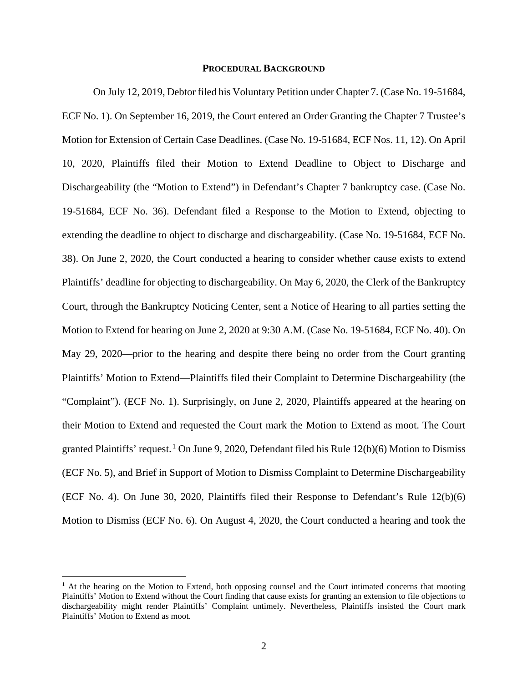#### **PROCEDURAL BACKGROUND**

On July 12, 2019, Debtor filed his Voluntary Petition under Chapter 7. (Case No. 19-51684, ECF No. 1). On September 16, 2019, the Court entered an Order Granting the Chapter 7 Trustee's Motion for Extension of Certain Case Deadlines. (Case No. 19-51684, ECF Nos. 11, 12). On April 10, 2020, Plaintiffs filed their Motion to Extend Deadline to Object to Discharge and Dischargeability (the "Motion to Extend") in Defendant's Chapter 7 bankruptcy case. (Case No. 19-51684, ECF No. 36). Defendant filed a Response to the Motion to Extend, objecting to extending the deadline to object to discharge and dischargeability. (Case No. 19-51684, ECF No. 38). On June 2, 2020, the Court conducted a hearing to consider whether cause exists to extend Plaintiffs' deadline for objecting to dischargeability. On May 6, 2020, the Clerk of the Bankruptcy Court, through the Bankruptcy Noticing Center, sent a Notice of Hearing to all parties setting the Motion to Extend for hearing on June 2, 2020 at 9:30 A.M. (Case No. 19-51684, ECF No. 40). On May 29, 2020—prior to the hearing and despite there being no order from the Court granting Plaintiffs' Motion to Extend—Plaintiffs filed their Complaint to Determine Dischargeability (the "Complaint"). (ECF No. 1). Surprisingly, on June 2, 2020, Plaintiffs appeared at the hearing on their Motion to Extend and requested the Court mark the Motion to Extend as moot. The Court granted Plaintiffs' request.<sup>1</sup> On June 9, 2020, Defendant filed his Rule 12(b)(6) Motion to Dismiss (ECF No. 5), and Brief in Support of Motion to Dismiss Complaint to Determine Dischargeability (ECF No. 4). On June 30, 2020, Plaintiffs filed their Response to Defendant's Rule 12(b)(6) Motion to Dismiss (ECF No. 6). On August 4, 2020, the Court conducted a hearing and took the

 $<sup>1</sup>$  At the hearing on the Motion to Extend, both opposing counsel and the Court intimated concerns that mooting</sup> Plaintiffs' Motion to Extend without the Court finding that cause exists for granting an extension to file objections to dischargeability might render Plaintiffs' Complaint untimely. Nevertheless, Plaintiffs insisted the Court mark Plaintiffs' Motion to Extend as moot.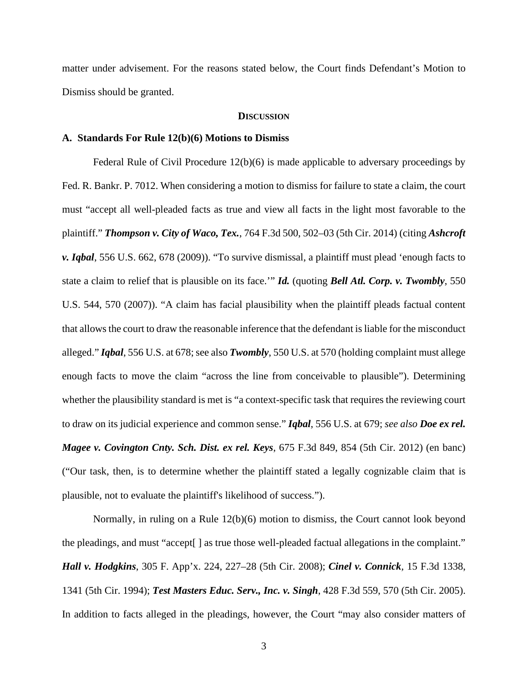matter under advisement. For the reasons stated below, the Court finds Defendant's Motion to Dismiss should be granted.

#### **DISCUSSION**

### **A. Standards For Rule 12(b)(6) Motions to Dismiss**

Federal Rule of Civil Procedure  $12(b)(6)$  is made applicable to adversary proceedings by Fed. R. Bankr. P. 7012. When considering a motion to dismiss for failure to state a claim, the court must "accept all well-pleaded facts as true and view all facts in the light most favorable to the plaintiff." *Thompson v. City of Waco, Tex.*, 764 F.3d 500, 502–03 (5th Cir. 2014) (citing *Ashcroft v. Iqbal*, 556 U.S. 662, 678 (2009)). "To survive dismissal, a plaintiff must plead 'enough facts to state a claim to relief that is plausible on its face.'" *Id.* (quoting *Bell Atl. Corp. v. Twombly*, 550 U.S. 544, 570 (2007)). "A claim has facial plausibility when the plaintiff pleads factual content that allows the court to draw the reasonable inference that the defendant is liable for the misconduct alleged." *Iqbal*, 556 U.S. at 678; see also *Twombly*, 550 U.S. at 570 (holding complaint must allege enough facts to move the claim "across the line from conceivable to plausible"). Determining whether the plausibility standard is met is "a context-specific task that requires the reviewing court to draw on its judicial experience and common sense." *Iqbal*, 556 U.S. at 679; *see also Doe ex rel. Magee v. Covington Cnty. Sch. Dist. ex rel. Keys*, 675 F.3d 849, 854 (5th Cir. 2012) (en banc) ("Our task, then, is to determine whether the plaintiff stated a legally cognizable claim that is plausible, not to evaluate the plaintiff's likelihood of success.").

Normally, in ruling on a Rule 12(b)(6) motion to dismiss, the Court cannot look beyond the pleadings, and must "accept[ ] as true those well-pleaded factual allegations in the complaint." *Hall v. Hodgkins*, 305 F. App'x. 224, 227–28 (5th Cir. 2008); *Cinel v. Connick,* 15 F.3d 1338, 1341 (5th Cir. 1994); *Test Masters Educ. Serv., Inc. v. Singh*, 428 F.3d 559, 570 (5th Cir. 2005). In addition to facts alleged in the pleadings, however, the Court "may also consider matters of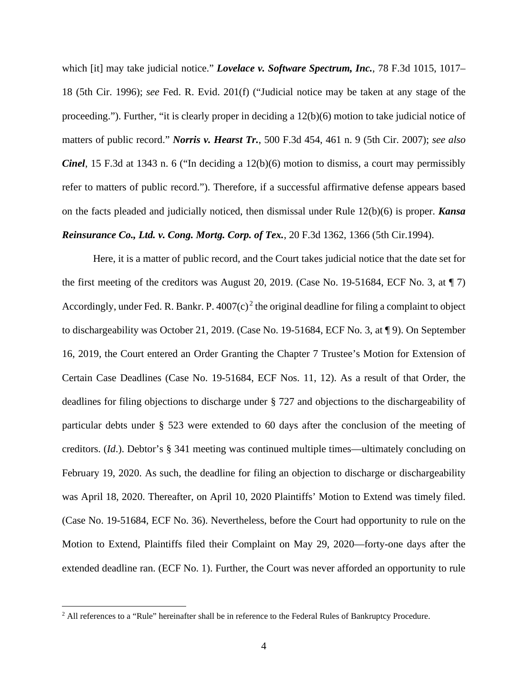which [it] may take judicial notice." *Lovelace v. Software Spectrum, Inc.*, 78 F.3d 1015, 1017– 18 (5th Cir. 1996); *see* Fed. R. Evid. 201(f) ("Judicial notice may be taken at any stage of the proceeding."). Further, "it is clearly proper in deciding a 12(b)(6) motion to take judicial notice of matters of public record." *Norris v. Hearst Tr.*, 500 F.3d 454, 461 n. 9 (5th Cir. 2007); *see also Cinel*, 15 F.3d at 1343 n. 6 ("In deciding a 12(b)(6) motion to dismiss, a court may permissibly refer to matters of public record."). Therefore, if a successful affirmative defense appears based on the facts pleaded and judicially noticed, then dismissal under Rule 12(b)(6) is proper. *Kansa Reinsurance Co., Ltd. v. Cong. Mortg. Corp. of Tex.*, 20 F.3d 1362, 1366 (5th Cir.1994).

Here, it is a matter of public record, and the Court takes judicial notice that the date set for the first meeting of the creditors was August 20, 2019. (Case No. 19-51684, ECF No. 3, at ¶ 7) Accordingly, under Fed. R. Bankr. P.  $4007(c)^2$  the original deadline for filing a complaint to object to dischargeability was October 21, 2019. (Case No. 19-51684, ECF No. 3, at ¶ 9). On September 16, 2019, the Court entered an Order Granting the Chapter 7 Trustee's Motion for Extension of Certain Case Deadlines (Case No. 19-51684, ECF Nos. 11, 12). As a result of that Order, the deadlines for filing objections to discharge under § 727 and objections to the dischargeability of particular debts under § 523 were extended to 60 days after the conclusion of the meeting of creditors. (*Id*.). Debtor's § 341 meeting was continued multiple times—ultimately concluding on February 19, 2020. As such, the deadline for filing an objection to discharge or dischargeability was April 18, 2020. Thereafter, on April 10, 2020 Plaintiffs' Motion to Extend was timely filed. (Case No. 19-51684, ECF No. 36). Nevertheless, before the Court had opportunity to rule on the Motion to Extend, Plaintiffs filed their Complaint on May 29, 2020—forty-one days after the extended deadline ran. (ECF No. 1). Further, the Court was never afforded an opportunity to rule

<sup>&</sup>lt;sup>2</sup> All references to a "Rule" hereinafter shall be in reference to the Federal Rules of Bankruptcy Procedure.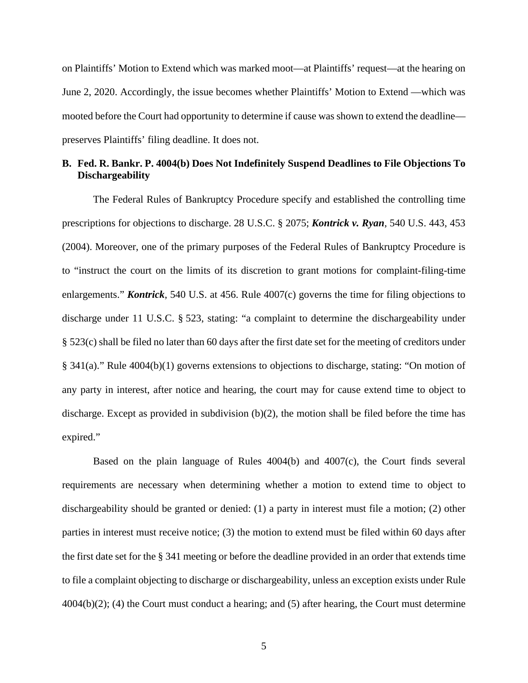on Plaintiffs' Motion to Extend which was marked moot—at Plaintiffs' request—at the hearing on June 2, 2020. Accordingly, the issue becomes whether Plaintiffs' Motion to Extend —which was mooted before the Court had opportunity to determine if cause was shown to extend the deadline preserves Plaintiffs' filing deadline. It does not.

### **B. Fed. R. Bankr. P. 4004(b) Does Not Indefinitely Suspend Deadlines to File Objections To Dischargeability**

The Federal Rules of Bankruptcy Procedure specify and established the controlling time prescriptions for objections to discharge. 28 U.S.C. § 2075; *Kontrick v. Ryan*, 540 U.S. 443, 453 (2004). Moreover, one of the primary purposes of the Federal Rules of Bankruptcy Procedure is to "instruct the court on the limits of its discretion to grant motions for complaint-filing-time enlargements." *Kontrick*, 540 U.S. at 456. Rule 4007(c) governs the time for filing objections to discharge under 11 U.S.C. § 523, stating: "a complaint to determine the dischargeability under § 523(c) shall be filed no later than 60 days after the first date set for the meeting of creditors under § 341(a)." Rule 4004(b)(1) governs extensions to objections to discharge, stating: "On motion of any party in interest, after notice and hearing, the court may for cause extend time to object to discharge. Except as provided in subdivision (b)(2), the motion shall be filed before the time has expired."

Based on the plain language of Rules 4004(b) and 4007(c), the Court finds several requirements are necessary when determining whether a motion to extend time to object to dischargeability should be granted or denied: (1) a party in interest must file a motion; (2) other parties in interest must receive notice; (3) the motion to extend must be filed within 60 days after the first date set for the § 341 meeting or before the deadline provided in an order that extends time to file a complaint objecting to discharge or dischargeability, unless an exception exists under Rule  $4004(b)(2)$ ; (4) the Court must conduct a hearing; and (5) after hearing, the Court must determine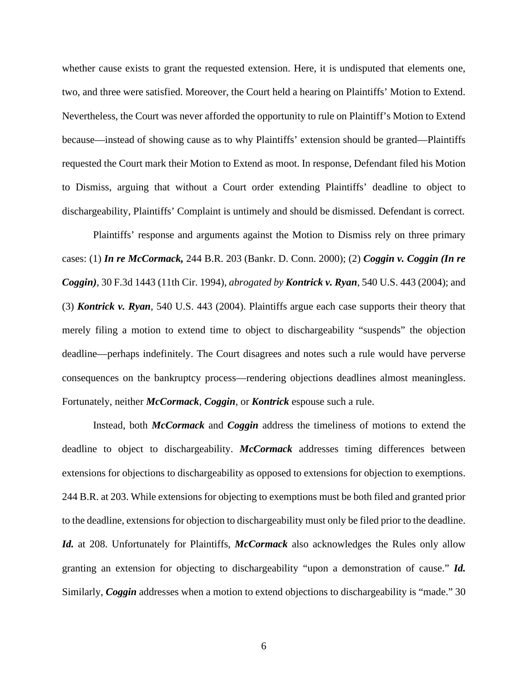whether cause exists to grant the requested extension. Here, it is undisputed that elements one, two, and three were satisfied. Moreover, the Court held a hearing on Plaintiffs' Motion to Extend. Nevertheless, the Court was never afforded the opportunity to rule on Plaintiff's Motion to Extend because—instead of showing cause as to why Plaintiffs' extension should be granted—Plaintiffs requested the Court mark their Motion to Extend as moot. In response, Defendant filed his Motion to Dismiss, arguing that without a Court order extending Plaintiffs' deadline to object to dischargeability, Plaintiffs' Complaint is untimely and should be dismissed. Defendant is correct.

Plaintiffs' response and arguments against the Motion to Dismiss rely on three primary cases: (1) *In re McCormack,* 244 B.R. 203 (Bankr. D. Conn. 2000); (2) *Coggin v. Coggin (In re Coggin)*, 30 F.3d 1443 (11th Cir. 1994), *abrogated by Kontrick v. Ryan*, 540 U.S. 443 (2004); and (3) *Kontrick v. Ryan*, 540 U.S. 443 (2004). Plaintiffs argue each case supports their theory that merely filing a motion to extend time to object to dischargeability "suspends" the objection deadline—perhaps indefinitely. The Court disagrees and notes such a rule would have perverse consequences on the bankruptcy process—rendering objections deadlines almost meaningless. Fortunately, neither *McCormack*, *Coggin*, or *Kontrick* espouse such a rule.

Instead, both *McCormack* and *Coggin* address the timeliness of motions to extend the deadline to object to dischargeability. *McCormack* addresses timing differences between extensions for objections to dischargeability as opposed to extensions for objection to exemptions. 244 B.R. at 203. While extensions for objecting to exemptions must be both filed and granted prior to the deadline, extensions for objection to dischargeability must only be filed prior to the deadline. *Id.* at 208. Unfortunately for Plaintiffs, *McCormack* also acknowledges the Rules only allow granting an extension for objecting to dischargeability "upon a demonstration of cause." *Id.* Similarly, *Coggin* addresses when a motion to extend objections to dischargeability is "made." 30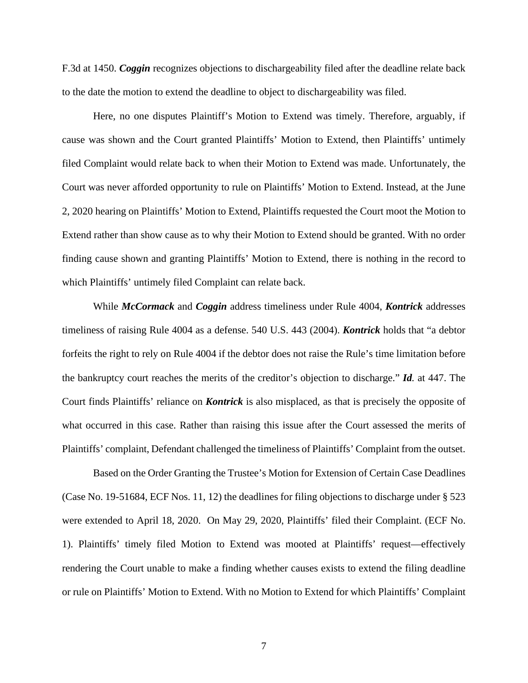F.3d at 1450. *Coggin* recognizes objections to dischargeability filed after the deadline relate back to the date the motion to extend the deadline to object to dischargeability was filed.

Here, no one disputes Plaintiff's Motion to Extend was timely. Therefore, arguably, if cause was shown and the Court granted Plaintiffs' Motion to Extend, then Plaintiffs' untimely filed Complaint would relate back to when their Motion to Extend was made. Unfortunately, the Court was never afforded opportunity to rule on Plaintiffs' Motion to Extend. Instead, at the June 2, 2020 hearing on Plaintiffs' Motion to Extend, Plaintiffs requested the Court moot the Motion to Extend rather than show cause as to why their Motion to Extend should be granted. With no order finding cause shown and granting Plaintiffs' Motion to Extend, there is nothing in the record to which Plaintiffs' untimely filed Complaint can relate back.

While *McCormack* and *Coggin* address timeliness under Rule 4004, *Kontrick* addresses timeliness of raising Rule 4004 as a defense. 540 U.S. 443 (2004). *Kontrick* holds that "a debtor forfeits the right to rely on Rule 4004 if the debtor does not raise the Rule's time limitation before the bankruptcy court reaches the merits of the creditor's objection to discharge." *Id.* at 447. The Court finds Plaintiffs' reliance on *Kontrick* is also misplaced, as that is precisely the opposite of what occurred in this case. Rather than raising this issue after the Court assessed the merits of Plaintiffs' complaint, Defendant challenged the timeliness of Plaintiffs' Complaint from the outset.

Based on the Order Granting the Trustee's Motion for Extension of Certain Case Deadlines (Case No. 19-51684, ECF Nos. 11, 12) the deadlines for filing objections to discharge under § 523 were extended to April 18, 2020. On May 29, 2020, Plaintiffs' filed their Complaint. (ECF No. 1). Plaintiffs' timely filed Motion to Extend was mooted at Plaintiffs' request—effectively rendering the Court unable to make a finding whether causes exists to extend the filing deadline or rule on Plaintiffs' Motion to Extend. With no Motion to Extend for which Plaintiffs' Complaint